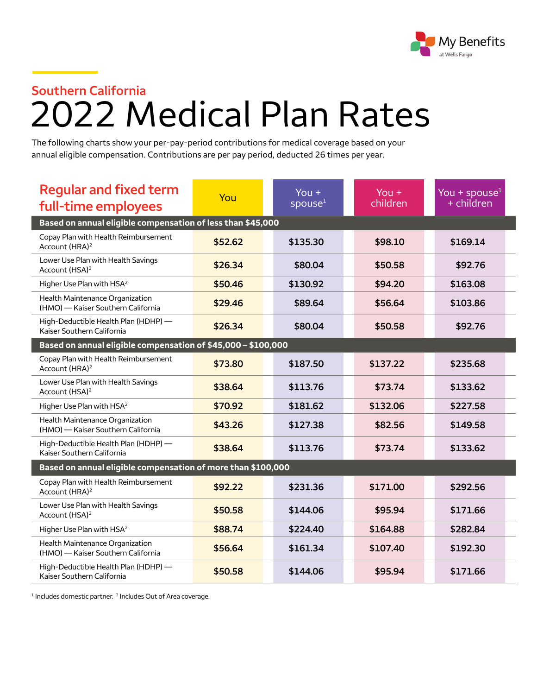

## **Southern California** 2022 Medical Plan Rates

The following charts show your per-pay-period contributions for medical coverage based on your annual eligible compensation. Contributions are per pay period, deducted 26 times per year.

| <b>Regular and fixed term</b><br>full-time employees                  | You     | You $+$<br>spouse <sup>1</sup> | $You +$<br>children | You + spouse $1$<br>$+$ children |  |  |
|-----------------------------------------------------------------------|---------|--------------------------------|---------------------|----------------------------------|--|--|
| Based on annual eligible compensation of less than \$45,000           |         |                                |                     |                                  |  |  |
| Copay Plan with Health Reimbursement<br>Account (HRA) <sup>2</sup>    | \$52.62 | \$135.30                       | \$98.10             | \$169.14                         |  |  |
| Lower Use Plan with Health Savings<br>Account (HSA) <sup>2</sup>      | \$26.34 | \$80.04                        | \$50.58             | \$92.76                          |  |  |
| Higher Use Plan with HSA <sup>2</sup>                                 | \$50.46 | \$130.92                       | \$94.20             | \$163.08                         |  |  |
| Health Maintenance Organization<br>(HMO) - Kaiser Southern California | \$29.46 | \$89.64                        | \$56.64             | \$103.86                         |  |  |
| High-Deductible Health Plan (HDHP) -<br>Kaiser Southern California    | \$26.34 | \$80.04                        | \$50.58             | \$92.76                          |  |  |
| Based on annual eligible compensation of \$45,000 - \$100,000         |         |                                |                     |                                  |  |  |
| Copay Plan with Health Reimbursement<br>Account (HRA) <sup>2</sup>    | \$73.80 | \$187.50                       | \$137.22            | \$235.68                         |  |  |
| Lower Use Plan with Health Savings<br>Account (HSA) <sup>2</sup>      | \$38.64 | \$113.76                       | \$73.74             | \$133.62                         |  |  |
| Higher Use Plan with HSA <sup>2</sup>                                 | \$70.92 | \$181.62                       | \$132.06            | \$227.58                         |  |  |
| Health Maintenance Organization<br>(HMO) - Kaiser Southern California | \$43.26 | \$127.38                       | \$82.56             | \$149.58                         |  |  |
| High-Deductible Health Plan (HDHP) -<br>Kaiser Southern California    | \$38.64 | \$113.76                       | \$73.74             | \$133.62                         |  |  |
| Based on annual eligible compensation of more than \$100,000          |         |                                |                     |                                  |  |  |
| Copay Plan with Health Reimbursement<br>Account (HRA) <sup>2</sup>    | \$92.22 | \$231.36                       | \$171.00            | \$292.56                         |  |  |
| Lower Use Plan with Health Savings<br>Account (HSA) <sup>2</sup>      | \$50.58 | \$144.06                       | \$95.94             | \$171.66                         |  |  |
| Higher Use Plan with HSA <sup>2</sup>                                 | \$88.74 | \$224.40                       | \$164.88            | \$282.84                         |  |  |
| Health Maintenance Organization<br>(HMO) — Kaiser Southern California | \$56.64 | \$161.34                       | \$107.40            | \$192.30                         |  |  |
| High-Deductible Health Plan (HDHP) -<br>Kaiser Southern California    | \$50.58 | \$144.06                       | \$95.94             | \$171.66                         |  |  |

<sup>1</sup> Includes domestic partner. <sup>2</sup> Includes Out of Area coverage.